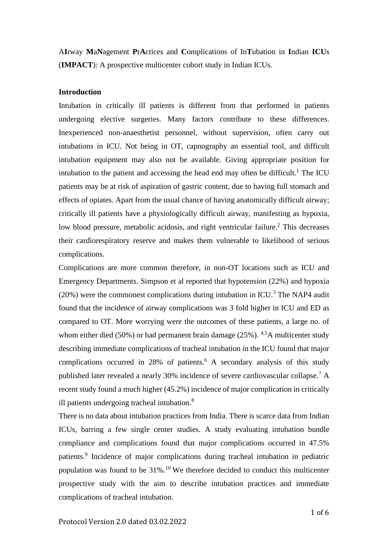A**I**rway **M**a**N**agement **P**r**A**ctices and **C**omplications of In**T**ubation in **I**ndian **ICU**s (**IMPACT**): A prospective multicenter cohort study in Indian ICUs.

#### **Introduction**

Intubation in critically ill patients is different from that performed in patients undergoing elective surgeries. Many factors contribute to these differences. Inexperienced non-anaesthetist personnel, without supervision, often carry out intubations in ICU. Not being in OT, capnography an essential tool, and difficult intubation equipment may also not be available. Giving appropriate position for intubation to the patient and accessing the head end may often be difficult.<sup>1</sup> The ICU patients may be at risk of aspiration of gastric content, due to having full stomach and effects of opiates. Apart from the usual chance of having anatomically difficult airway; critically ill patients have a physiologically difficult airway, manifesting as hypoxia, low blood pressure, metabolic acidosis, and right ventricular failure.<sup>2</sup> This decreases their cardiorespiratory reserve and makes them vulnerable to likelihood of serious complications.

Complications are more common therefore, in non-OT locations such as ICU and Emergency Departments. Simpson et al reported that hypotension (22%) and hypoxia  $(20%)$  were the commonest complications during intubation in ICU.<sup>3</sup> The NAP4 audit found that the incidence of airway complications was 3 fold higher in ICU and ED as compared to OT. More worrying were the outcomes of these patients, a large no. of whom either died (50%) or had permanent brain damage (25%).  $4.5$ A multicenter study describing immediate complications of tracheal intubation in the ICU found that major complications occurred in 28% of patients.<sup>6</sup> A secondary analysis of this study published later revealed a nearly 30% incidence of severe cardiovascular collapse.<sup>7</sup> A recent study found a much higher (45.2%) incidence of major complication in critically ill patients undergoing tracheal intubation.<sup>8</sup>

There is no data about intubation practices from India. There is scarce data from Indian ICUs, barring a few single center studies. A study evaluating intubation bundle compliance and complications found that major complications occurred in 47.5% patients.<sup>9</sup> Incidence of major complications during tracheal intubation in pediatric population was found to be  $31\%$ .<sup>10</sup> We therefore decided to conduct this multicenter prospective study with the aim to describe intubation practices and immediate complications of tracheal intubation.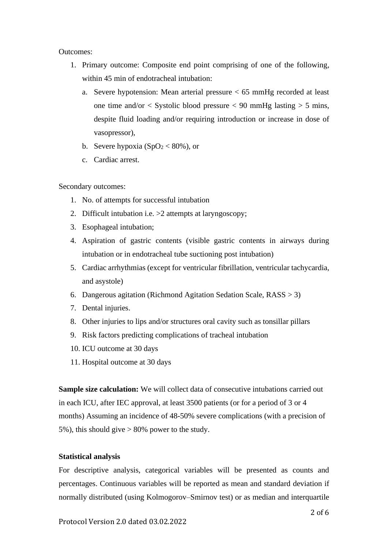Outcomes:

- 1. Primary outcome: Composite end point comprising of one of the following, within 45 min of endotracheal intubation:
	- a. Severe hypotension: Mean arterial pressure < 65 mmHg recorded at least one time and/or  $\langle$  Systolic blood pressure  $\langle$  90 mmHg lasting  $>$  5 mins, despite fluid loading and/or requiring introduction or increase in dose of vasopressor),
	- b. Severe hypoxia  $(SpO<sub>2</sub> < 80%)$ , or
	- c. Cardiac arrest.

Secondary outcomes:

- 1. No. of attempts for successful intubation
- 2. Difficult intubation i.e. >2 attempts at laryngoscopy;
- 3. Esophageal intubation;
- 4. Aspiration of gastric contents (visible gastric contents in airways during intubation or in endotracheal tube suctioning post intubation)
- 5. Cardiac arrhythmias (except for ventricular fibrillation, ventricular tachycardia, and asystole)
- 6. Dangerous agitation (Richmond Agitation Sedation Scale, RASS > 3)
- 7. Dental injuries.
- 8. Other injuries to lips and/or structures oral cavity such as tonsillar pillars
- 9. Risk factors predicting complications of tracheal intubation
- 10. ICU outcome at 30 days
- 11. Hospital outcome at 30 days

**Sample size calculation:** We will collect data of consecutive intubations carried out in each ICU, after IEC approval, at least 3500 patients (or for a period of 3 or 4 months) Assuming an incidence of 48-50% severe complications (with a precision of 5%), this should give > 80% power to the study.

# **Statistical analysis**

For descriptive analysis, categorical variables will be presented as counts and percentages. Continuous variables will be reported as mean and standard deviation if normally distributed (using Kolmogorov–Smirnov test) or as median and interquartile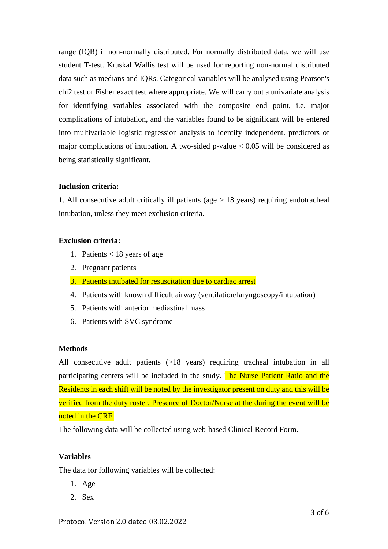range (IQR) if non-normally distributed. For normally distributed data, we will use student T-test. Kruskal Wallis test will be used for reporting non-normal distributed data such as medians and IQRs. Categorical variables will be analysed using Pearson's chi2 test or Fisher exact test where appropriate. We will carry out a univariate analysis for identifying variables associated with the composite end point, i.e. major complications of intubation, and the variables found to be significant will be entered into multivariable logistic regression analysis to identify independent. predictors of major complications of intubation. A two-sided p-value  $< 0.05$  will be considered as being statistically significant.

# **Inclusion criteria:**

1. All consecutive adult critically ill patients (age > 18 years) requiring endotracheal intubation, unless they meet exclusion criteria.

# **Exclusion criteria:**

- 1. Patients < 18 years of age
- 2. Pregnant patients
- 3. Patients intubated for resuscitation due to cardiac arrest
- 4. Patients with known difficult airway (ventilation/laryngoscopy/intubation)
- 5. Patients with anterior mediastinal mass
- 6. Patients with SVC syndrome

# **Methods**

All consecutive adult patients (>18 years) requiring tracheal intubation in all participating centers will be included in the study. The Nurse Patient Ratio and the Residents in each shift will be noted by the investigator present on duty and this will be verified from the duty roster. Presence of Doctor/Nurse at the during the event will be noted in the CRF.

The following data will be collected using web-based Clinical Record Form.

# **Variables**

The data for following variables will be collected:

- 1. Age
- 2. Sex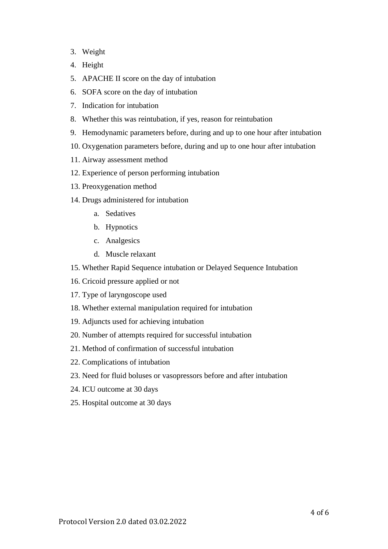- 3. Weight
- 4. Height
- 5. APACHE II score on the day of intubation
- 6. SOFA score on the day of intubation
- 7. Indication for intubation
- 8. Whether this was reintubation, if yes, reason for reintubation
- 9. Hemodynamic parameters before, during and up to one hour after intubation
- 10. Oxygenation parameters before, during and up to one hour after intubation
- 11. Airway assessment method
- 12. Experience of person performing intubation
- 13. Preoxygenation method
- 14. Drugs administered for intubation
	- a. Sedatives
	- b. Hypnotics
	- c. Analgesics
	- d. Muscle relaxant
- 15. Whether Rapid Sequence intubation or Delayed Sequence Intubation
- 16. Cricoid pressure applied or not
- 17. Type of laryngoscope used
- 18. Whether external manipulation required for intubation
- 19. Adjuncts used for achieving intubation
- 20. Number of attempts required for successful intubation
- 21. Method of confirmation of successful intubation
- 22. Complications of intubation
- 23. Need for fluid boluses or vasopressors before and after intubation
- 24. ICU outcome at 30 days
- 25. Hospital outcome at 30 days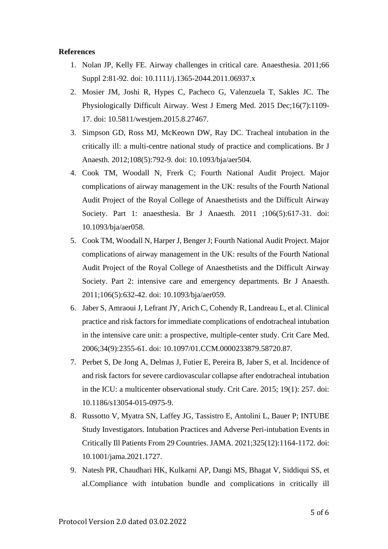#### **References**

- 1. Nolan JP, Kelly FE. Airway challenges in critical care. Anaesthesia. 2011;66 Suppl 2:81-92. doi: 10.1111/j.1365-2044.2011.06937.x
- 2. Mosier JM, Joshi R, Hypes C, Pacheco G, Valenzuela T, Sakles JC. The Physiologically Difficult Airway. West J Emerg Med. 2015 Dec;16(7):1109- 17. doi: 10.5811/westjem.2015.8.27467.
- 3. Simpson GD, Ross MJ, McKeown DW, Ray DC. Tracheal intubation in the critically ill: a multi-centre national study of practice and complications. Br J Anaesth. 2012;108(5):792-9. doi: 10.1093/bja/aer504.
- 4. Cook TM, Woodall N, Frerk C; Fourth National Audit Project. Major complications of airway management in the UK: results of the Fourth National Audit Project of the Royal College of Anaesthetists and the Difficult Airway Society. Part 1: anaesthesia. Br J Anaesth. 2011 ;106(5):617-31. doi: 10.1093/bja/aer058.
- 5. Cook TM, Woodall N, Harper J, Benger J; Fourth National Audit Project. Major complications of airway management in the UK: results of the Fourth National Audit Project of the Royal College of Anaesthetists and the Difficult Airway Society. Part 2: intensive care and emergency departments. Br J Anaesth. 2011;106(5):632-42. doi: 10.1093/bja/aer059.
- 6. Jaber S, Amraoui J, Lefrant JY, Arich C, Cohendy R, Landreau L, et al. Clinical practice and risk factors for immediate complications of endotracheal intubation in the intensive care unit: a prospective, multiple-center study. Crit Care Med. 2006;34(9):2355-61. doi: 10.1097/01.CCM.0000233879.58720.87.
- 7. Perbet S, De Jong A, Delmas J, Futier E, Pereira B, Jaber S, et al. Incidence of and risk factors for severe cardiovascular collapse after endotracheal intubation in the ICU: a multicenter observational study. Crit Care. 2015; 19(1): 257. doi: 10.1186/s13054-015-0975-9.
- 8. Russotto V, Myatra SN, Laffey JG, Tassistro E, Antolini L, Bauer P; INTUBE Study Investigators. Intubation Practices and Adverse Peri-intubation Events in Critically Ill Patients From 29 Countries. JAMA. 2021;325(12):1164-1172. doi: 10.1001/jama.2021.1727.
- 9. Natesh PR, Chaudhari HK, Kulkarni AP, Dangi MS, Bhagat V, Siddiqui SS, et al.Compliance with intubation bundle and complications in critically ill